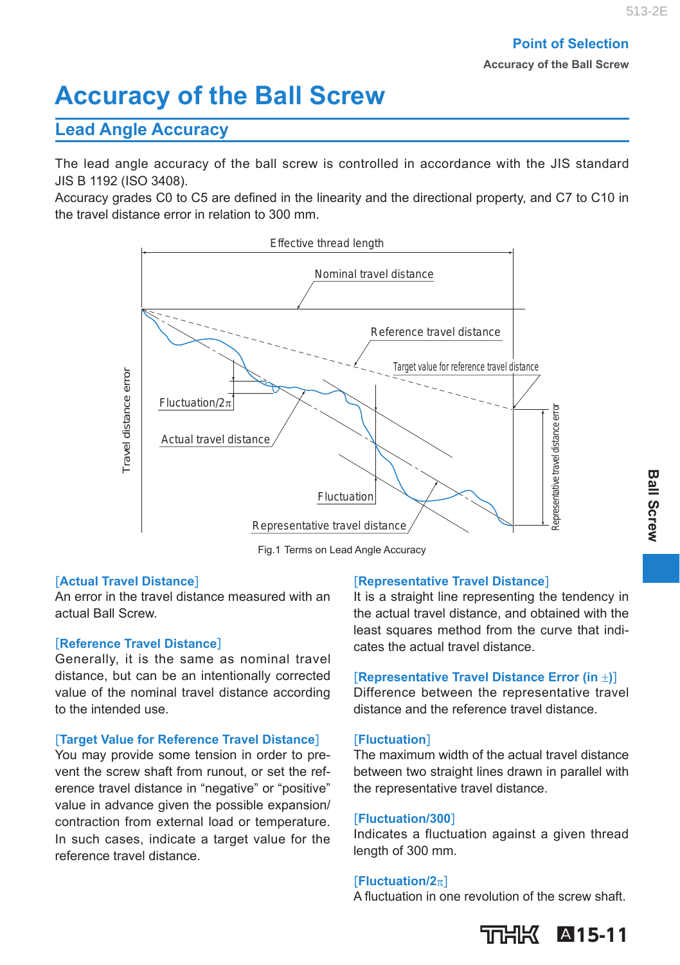**Accuracy of the Ball Screw**

# **Accuracy of the Ball Screw**

## **Lead Angle Accuracy**

The lead angle accuracy of the ball screw is controlled in accordance with the JIS standard JIS B 1192 (ISO 3408).

Accuracy grades C0 to C5 are defined in the linearity and the directional property, and C7 to C10 in the travel distance error in relation to 300 mm.



Fig.1 Terms on Lead Angle Accuracy

#### [**Actual Travel Distance**]

An error in the travel distance measured with an actual Ball Screw.

#### [**Reference Travel Distance**]

Generally, it is the same as nominal travel distance, but can be an intentionally corrected value of the nominal travel distance according to the intended use.

#### [**Target Value for Reference Travel Distance**]

You may provide some tension in order to prevent the screw shaft from runout, or set the reference travel distance in "negative" or "positive" value in advance given the possible expansion/ contraction from external load or temperature. In such cases, indicate a target value for the reference travel distance.

#### [**Representative Travel Distance**]

 It is a straight line representing the tendency in the actual travel distance, and obtained with the least squares method from the curve that indicates the actual travel distance.

#### [**Representative Travel Distance Error (in )**]

Difference between the representative travel distance and the reference travel distance.

#### [**Fluctuation**]

The maximum width of the actual travel distance between two straight lines drawn in parallel with the representative travel distance.

#### [**Fluctuation/300**]

Indicates a fluctuation against a given thread length of 300 mm.

#### [**Fluctuation/2**]

A fluctuation in one revolution of the screw shaft.

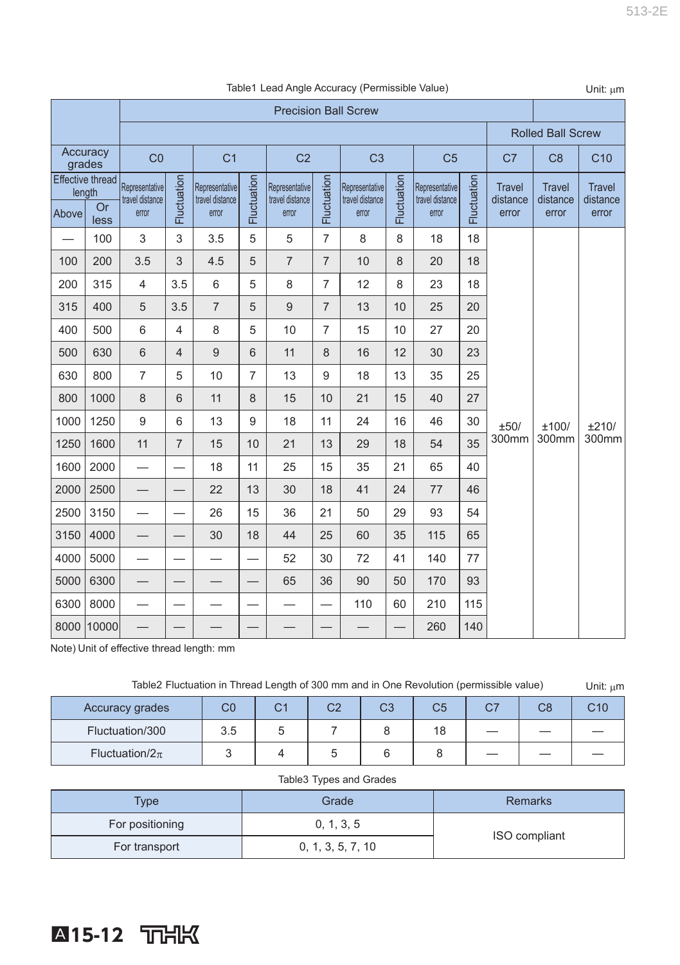|       |                                   | <b>Precision Ball Screw</b>       |                |                                   |                          |                                   |                |                                   |                          |                                   |                    |                           |                           |                           |
|-------|-----------------------------------|-----------------------------------|----------------|-----------------------------------|--------------------------|-----------------------------------|----------------|-----------------------------------|--------------------------|-----------------------------------|--------------------|---------------------------|---------------------------|---------------------------|
|       |                                   |                                   |                |                                   |                          |                                   |                |                                   |                          |                                   |                    |                           | <b>Rolled Ball Screw</b>  |                           |
|       | Accuracy<br>grades                | CO                                |                | C <sub>1</sub>                    |                          | C <sub>2</sub>                    |                | C <sub>3</sub>                    |                          | C <sub>5</sub>                    |                    | C7                        | C <sub>8</sub>            | C <sub>10</sub>           |
|       | <b>Effective thread</b><br>length | Representative<br>travel distance | Fluctuation    | Representative<br>travel distance | Fluctuation              | Representative<br>travel distance | Fluctuation    | Representative<br>travel distance | Fluctuation              | Representative<br>travel distance | <b>Fluctuation</b> | <b>Travel</b><br>distance | <b>Travel</b><br>distance | <b>Travel</b><br>distance |
| Above | <b>Or</b><br>less                 | error                             |                | error                             |                          | error                             |                | error                             |                          | error                             |                    | error                     | error                     | error                     |
|       | 100                               | 3                                 | 3              | 3.5                               | 5                        | 5                                 | $\overline{7}$ | 8                                 | 8                        | 18                                | 18                 |                           |                           |                           |
| 100   | 200                               | 3.5                               | 3              | 4.5                               | 5                        | $\overline{7}$                    | $\overline{7}$ | 10                                | 8                        | 20                                | 18                 |                           |                           |                           |
| 200   | 315                               | $\overline{4}$                    | 3.5            | $6\phantom{1}6$                   | 5                        | 8                                 | $\overline{7}$ | 12                                | 8                        | 23                                | 18                 |                           |                           |                           |
| 315   | 400                               | 5                                 | 3.5            | $\overline{7}$                    | 5                        | 9                                 | $\overline{7}$ | 13                                | 10                       | 25                                | 20                 |                           |                           |                           |
| 400   | 500                               | 6                                 | $\overline{4}$ | 8                                 | 5                        | 10                                | $\overline{7}$ | 15                                | 10                       | 27                                | 20                 |                           |                           |                           |
| 500   | 630                               | 6                                 | $\overline{4}$ | 9                                 | 6                        | 11                                | 8              | 16                                | 12                       | 30                                | 23                 |                           |                           |                           |
| 630   | 800                               | $\overline{7}$                    | 5              | 10                                | 7                        | 13                                | 9              | 18                                | 13                       | 35                                | 25                 |                           |                           |                           |
| 800   | 1000                              | 8                                 | 6              | 11                                | 8                        | 15                                | 10             | 21                                | 15                       | 40                                | 27                 |                           |                           |                           |
| 1000  | 1250                              | 9                                 | 6              | 13                                | 9                        | 18                                | 11             | 24                                | 16                       | 46                                | 30                 | ±50/                      | ±100/                     | ±210/                     |
| 1250  | 1600                              | 11                                | $\overline{7}$ | 15                                | 10                       | 21                                | 13             | 29                                | 18                       | 54                                | 35                 | 300mm                     | 300mm                     | 300mm                     |
| 1600  | 2000                              | —                                 |                | 18                                | 11                       | 25                                | 15             | 35                                | 21                       | 65                                | 40                 |                           |                           |                           |
| 2000  | 2500                              |                                   |                | 22                                | 13                       | 30                                | 18             | 41                                | 24                       | 77                                | 46                 |                           |                           |                           |
| 2500  | 3150                              |                                   |                | 26                                | 15                       | 36                                | 21             | 50                                | 29                       | 93                                | 54                 |                           |                           |                           |
| 3150  | 4000                              |                                   |                | 30                                | 18                       | 44                                | 25             | 60                                | 35                       | 115                               | 65                 |                           |                           |                           |
| 4000  | 5000                              |                                   |                |                                   | $\overline{\phantom{0}}$ | 52                                | 30             | 72                                | 41                       | 140                               | 77                 |                           |                           |                           |
| 5000  | 6300                              |                                   |                |                                   |                          | 65                                | 36             | 90                                | 50                       | 170                               | 93                 |                           |                           |                           |
| 6300  | 8000                              |                                   |                |                                   |                          |                                   |                | 110                               | 60                       | 210                               | 115                |                           |                           |                           |
| 8000  | 10000                             |                                   |                |                                   |                          |                                   |                |                                   | $\overline{\phantom{0}}$ | 260                               | 140                |                           |                           |                           |

Table1 Lead Angle Accuracy (Permissible Value) discussed the Unit: um

Note) Unit of effective thread length: mm

| Table2 Fluctuation in Thread Length of 300 mm and in One Revolution (permissible value) |  | Unit: um |
|-----------------------------------------------------------------------------------------|--|----------|
|-----------------------------------------------------------------------------------------|--|----------|

| Accuracy grades     | UU  | $\bigcap$ | $\sim$ | C <sub>3</sub> | C5 | C8 |  |
|---------------------|-----|-----------|--------|----------------|----|----|--|
| Fluctuation/300     | 3.5 |           |        |                |    |    |  |
| Fluctuation/ $2\pi$ |     |           |        |                |    |    |  |

| rapico Typoo and Oragoo |                   |                |  |  |  |  |  |
|-------------------------|-------------------|----------------|--|--|--|--|--|
| Type                    | Grade             | <b>Remarks</b> |  |  |  |  |  |
| For positioning         | 0, 1, 3, 5        | ISO compliant  |  |  |  |  |  |
| For transport           | 0, 1, 3, 5, 7, 10 |                |  |  |  |  |  |

## Table3 Types and Grades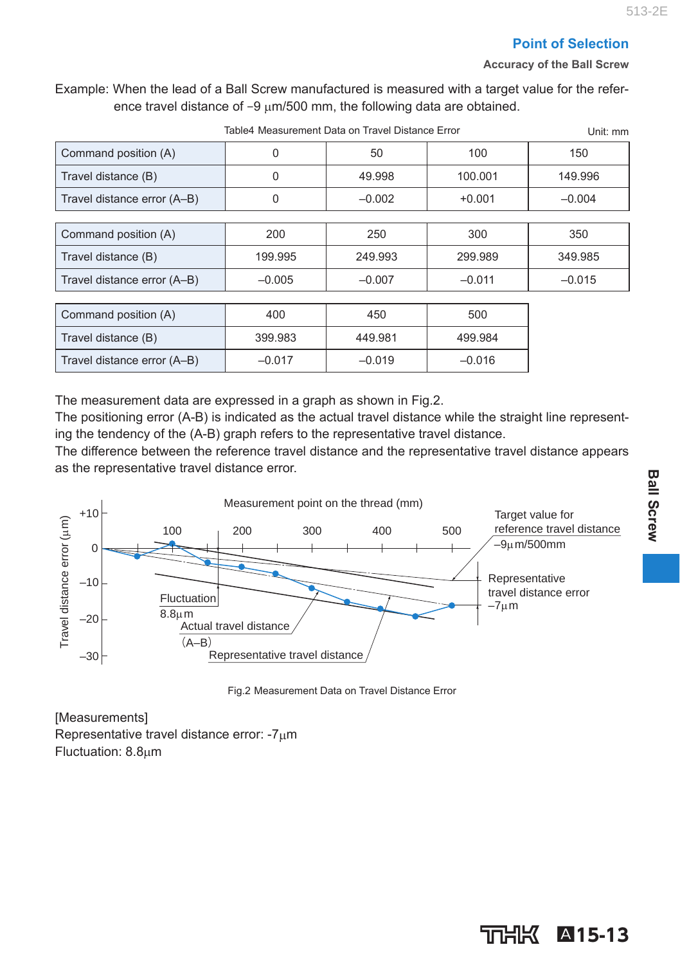**Accuracy of the Ball Screw**

 Example: When the lead of a Ball Screw manufactured is measured with a target value for the reference travel distance of  $-9 \mu m/500$  mm, the following data are obtained.

| Table4 Measurement Data on Travel Distance Error | Unit: mm |          |          |          |
|--------------------------------------------------|----------|----------|----------|----------|
| Command position (A)                             | 0        | 50       | 100      | 150      |
| Travel distance (B)                              | 0        | 49.998   | 100.001  | 149.996  |
| Travel distance error (A-B)                      | 0        | $-0.002$ | $+0.001$ | $-0.004$ |
|                                                  |          |          |          |          |
| Command position (A)                             | 200      | 250      | 300      | 350      |
| Travel distance (B)                              | 199.995  | 249.993  | 299.989  | 349.985  |
| Travel distance error (A-B)                      | $-0.005$ | $-0.007$ | $-0.011$ | $-0.015$ |
|                                                  |          |          |          |          |
| Command position (A)                             | 400      | 450      | 500      |          |
| Travel distance (B)                              | 399.983  | 449.981  | 499.984  |          |
| Travel distance error (A-B)                      | $-0.017$ | $-0.019$ | $-0.016$ |          |

The measurement data are expressed in a graph as shown in Fig. 2.

 The positioning error (A-B) is indicated as the actual travel distance while the straight line representing the tendency of the (A-B) graph refers to the representative travel distance.

The difference between the reference travel distance and the representative travel distance appears as the representative travel distance error.



Fig.2 Measurement Data on Travel Distance Error

 [Measurements] Representative travel distance error:  $-7<sub>µ</sub>m$ Fluctuation: 8.8um

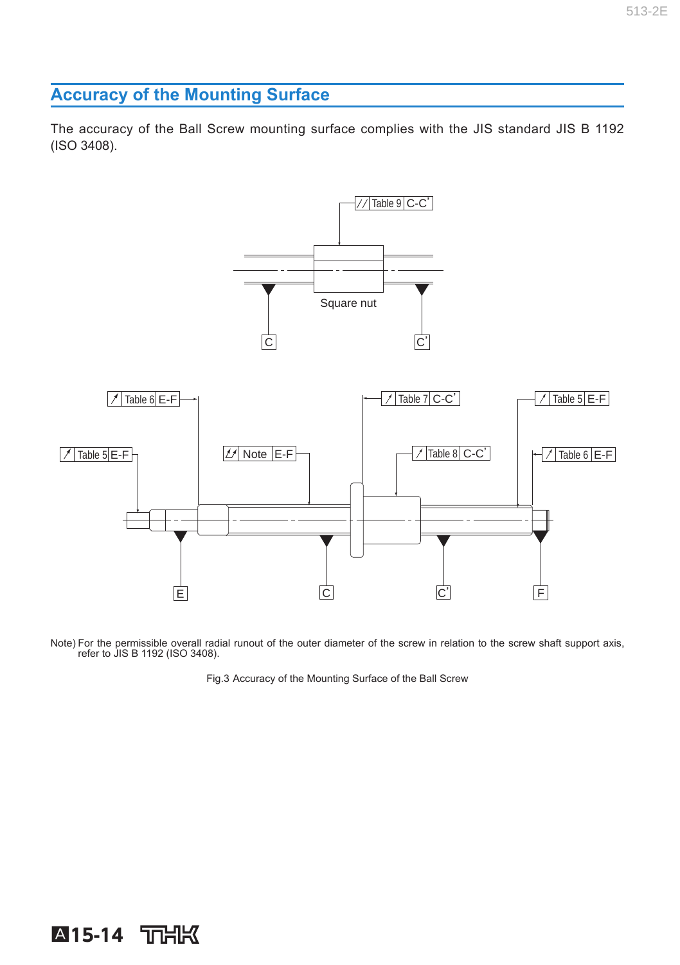## **Accuracy of the Mounting Surface**

**A15-14 TTHK** 

The accuracy of the Ball Screw mounting surface complies with the JIS standard JIS B 1192 (ISO 3408).



Note) For the permissible overall radial runout of the outer diameter of the screw in relation to the screw shaft support axis, refer to JIS B 1192 (ISO 3408).

Fig.3 Accuracy of the Mounting Surface of the Ball Screw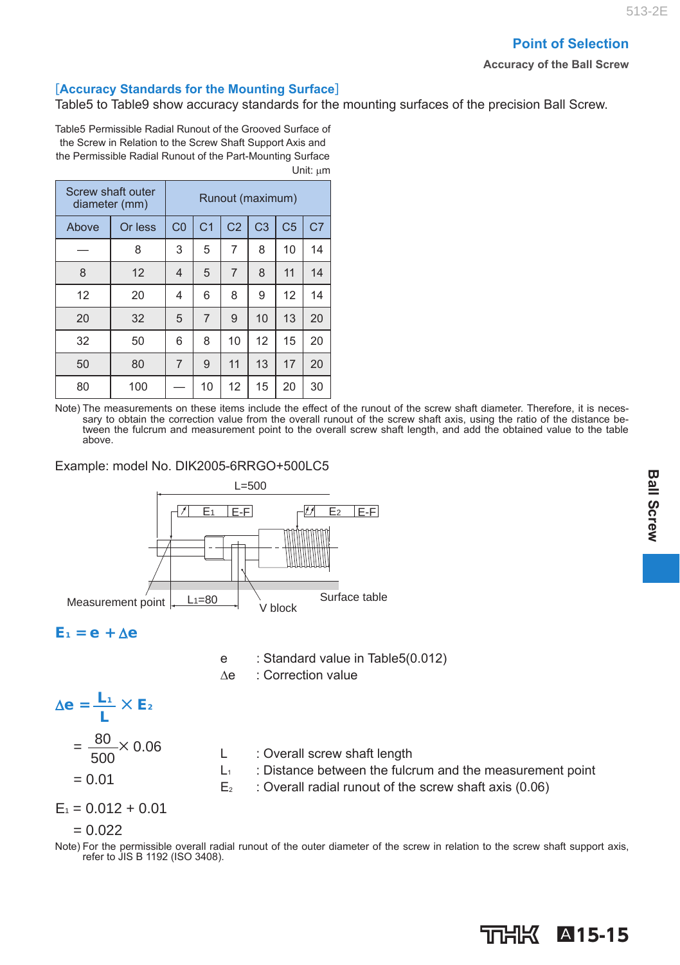**Accuracy of the Ball Screw**

#### [**Accuracy Standards for the Mounting Surface**]

Table5 to Table9 show accuracy standards for the mounting surfaces of the precision Ball Screw.

Table5 Permissible Radial Runout of the Grooved Surface of the Screw in Relation to the Screw Shaft Support Axis and the Permissible Radial Runout of the Part-Mounting Surface Unit: um

| Screw shaft outer<br>diameter (mm) |         |                | Runout (maximum) |                |                |                |                |
|------------------------------------|---------|----------------|------------------|----------------|----------------|----------------|----------------|
| Above                              | Or less | CO             | C <sub>1</sub>   | C <sub>2</sub> | C <sub>3</sub> | C <sub>5</sub> | C <sub>7</sub> |
|                                    | 8       | 3              | 5                | 7              | 8              | 10             | 14             |
| 8                                  | 12      | 4              | 5                | $\overline{7}$ | 8              | 11             | 14             |
| 12                                 | 20      | 4              | 6                | 8              | 9              | 12             | 14             |
| 20                                 | 32      | 5              | $\overline{7}$   | 9              | 10             | 13             | 20             |
| 32                                 | 50      | 6              | 8                | 10             | 12             | 15             | 20             |
| 50                                 | 80      | $\overline{7}$ | 9                | 11             | 13             | 17             | 20             |
| 80                                 | 100     |                | 10               | 12             | 15             | 20             | 30             |

Note) The measurements on these items include the effect of the runout of the screw shaft diameter. Therefore, it is necessary to obtain the correction value from the overall runout of the screw shaft axis, using the ratio of the distance be-<br>tween the fulcrum and measurement point to the overall screw shaft length, and add the obtained value above.

#### Example: model No. DIK2005-6RRGO+500LC5



 $E_1 = e + \Delta e$ 

e : Standard value in Table5(0.012) Ae : Correction value

| $\Delta e = \frac{L_1}{L_1} \times E_2$ |  |
|-----------------------------------------|--|
| $\frac{80}{1} \times 0.06$<br>500       |  |
| $= 0.01$                                |  |

L : Overall screw shaft length  $L_1$  : Distance between the fulcrum and the measurement point  $E_2$  : Overall radial runout of the screw shaft axis (0.06)

 $E_1 = 0.012 + 0.01$ 

$$
= 0.022
$$

Note) For the permissible overall radial runout of the outer diameter of the screw in relation to the screw shaft support axis, refer to JIS B 1192 (ISO 3408).

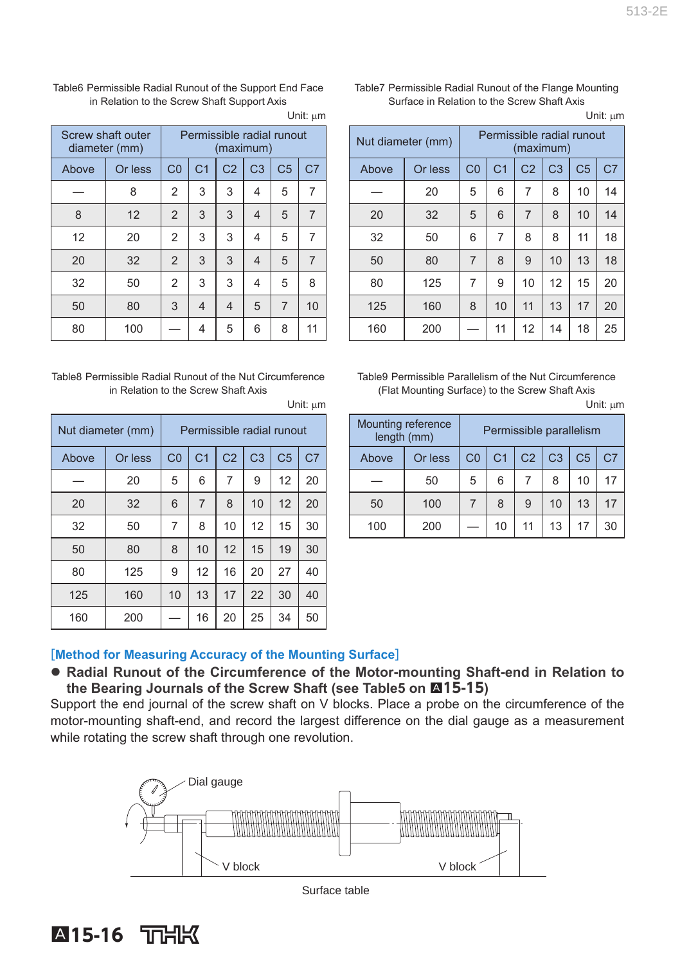|       | Screw shaft outer<br>diameter (mm) | Permissible radial runout<br>(maximum) |                |                |                |                |                |
|-------|------------------------------------|----------------------------------------|----------------|----------------|----------------|----------------|----------------|
| Above | Or less                            | CO                                     | C <sub>1</sub> | C <sub>2</sub> | C <sub>3</sub> | C <sub>5</sub> | C <sub>7</sub> |
|       | 8                                  | 2                                      | 3              | 3              | 4              | 5              | 7              |
| 8     | 12                                 | $\overline{2}$                         | 3              | 3              | 4              | 5              | 7              |
| 12    | 20                                 | 2                                      | 3              | 3              | 4              | 5              | 7              |
| 20    | 32                                 | $\overline{2}$                         | 3              | 3              | $\overline{4}$ | 5              | $\overline{7}$ |
| 32    | 50                                 | $\overline{2}$                         | 3              | 3              | 4              | 5              | 8              |
| 50    | 80                                 | 3                                      | $\overline{4}$ | 4              | 5              | $\overline{7}$ | 10             |
| 80    | 100                                |                                        | 4              | 5              | 6              | 8              | 11             |

Unit: um

#### Table8 Permissible Radial Runout of the Nut Circumference in Relation to the Screw Shaft Axis

| Nut diameter (mm) | Permissible radial runout |    |                |                |                |                |                |
|-------------------|---------------------------|----|----------------|----------------|----------------|----------------|----------------|
| Above             | Or less                   | CO | C <sub>1</sub> | C <sub>2</sub> | C <sub>3</sub> | C <sub>5</sub> | C <sub>7</sub> |
|                   | 20                        | 5  | 6              | 7              | 9              | 12             | 20             |
| 20                | 32                        | 6  | $\overline{7}$ | 8              | 10             | 12             | 20             |
| 32                | 50                        | 7  | 8              | 10             | 12             | 15             | 30             |
| 50                | 80                        | 8  | 10             | 12             | 15             | 19             | 30             |
| 80                | 125                       | 9  | 12             | 16             | 20             | 27             | 40             |
| 125               | 160                       | 10 | 13             | 17             | 22             | 30             | 40             |
| 160               | 200                       |    | 16             | 20             | 25             | 34             | 50             |

A**15-16**

Unit:  $\mu$ m

#### Table7 Permissible Radial Runout of the Flange Mounting Surface in Relation to the Screw Shaft Axis

| н<br> |  |
|-------|--|

| Nut diameter (mm) | Permissible radial runout<br>(maximum) |                |                |                |                |                |                |
|-------------------|----------------------------------------|----------------|----------------|----------------|----------------|----------------|----------------|
| Above             | Or less                                | C <sub>0</sub> | C <sub>1</sub> | C <sub>2</sub> | C <sub>3</sub> | C <sub>5</sub> | C <sub>7</sub> |
|                   | 20                                     | 5              | 6              | 7              | 8              | 10             | 14             |
| 20                | 32                                     | 5              | 6              | $\overline{7}$ | 8              | 10             | 14             |
| 32                | 50                                     | 6              | $\overline{7}$ | 8              | 8              | 11             | 18             |
| 50                | 80                                     | $\overline{7}$ | 8              | 9              | 10             | 13             | 18             |
| 80                | 125                                    | 7              | 9              | 10             | 12             | 15             | 20             |
| 125               | 160                                    | 8              | 10             | 11             | 13             | 17             | 20             |
| 160               | 200                                    |                | 11             | 12             | 14             | 18             | 25             |

Table9 Permissible Parallelism of the Nut Circumference (Flat Mounting Surface) to the Screw Shaft Axis

Unit: um

| Mounting reference<br>length (mm) |         | Permissible parallelism |                |                |                |                |                |
|-----------------------------------|---------|-------------------------|----------------|----------------|----------------|----------------|----------------|
| Above                             | Or less | CO                      | C <sub>1</sub> | C <sub>2</sub> | C <sub>3</sub> | C <sub>5</sub> | C <sub>7</sub> |
|                                   | 50      | 5                       | 6              |                | 8              | 10             | 17             |
| 50                                | 100     |                         | 8              | 9              | 10             | 13             | 17             |
| 100                               | 200     |                         | 10             | 11             | 13             | 17             | 30             |

#### [**Method for Measuring Accuracy of the Mounting Surface**]

 **Radial Runout of the Circumference of the Motor-mounting Shaft-end in Relation to**  the Bearing Journals of the Screw Shaft (see Table5 on **△15-15**)

 Support the end journal of the screw shaft on V blocks. Place a probe on the circumference of the motor-mounting shaft-end, and record the largest difference on the dial gauge as a measurement while rotating the screw shaft through one revolution.



Surface table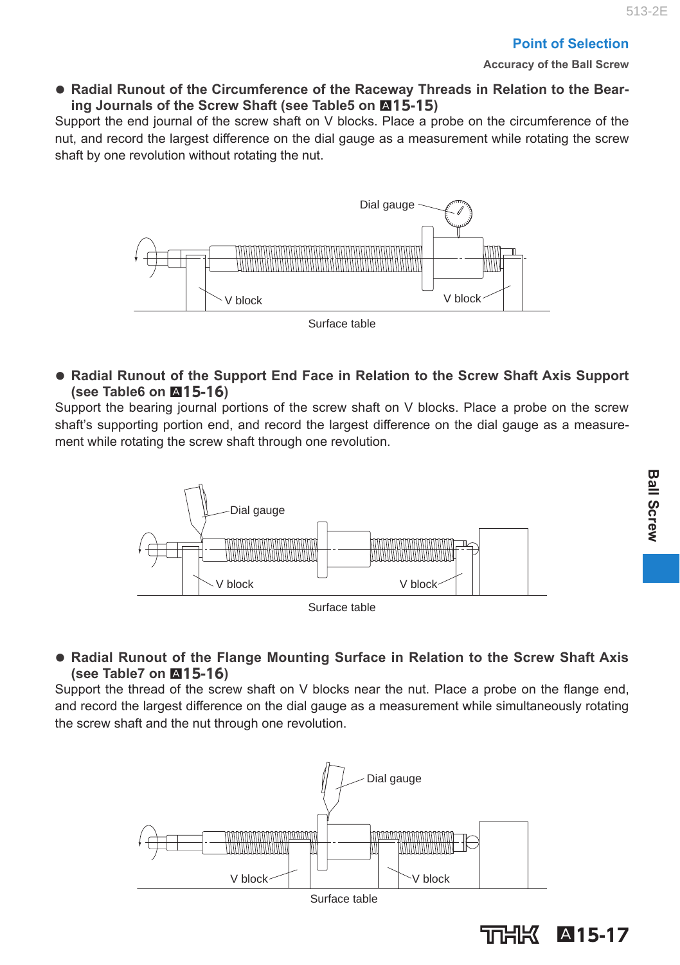**Accuracy of the Ball Screw**

#### **Radial Runout of the Circumference of the Raceway Threads in Relation to the Bearing Journals of the Screw Shaft (see Table5 on**  $\blacksquare$ **15-15)**

 Support the end journal of the screw shaft on V blocks. Place a probe on the circumference of the nut, and record the largest difference on the dial gauge as a measurement while rotating the screw shaft by one revolution without rotating the nut.



 **Radial Runout of the Support End Face in Relation to the Screw Shaft Axis Support (see Table6 on** A**15-16 )** 

Support the bearing journal portions of the screw shaft on V blocks. Place a probe on the screw shaft's supporting portion end, and record the largest difference on the dial gauge as a measurement while rotating the screw shaft through one revolution.



 **Radial Runout of the Flange Mounting Surface in Relation to the Screw Shaft Axis (see Table7 on** A**15-16 )** 

Support the thread of the screw shaft on V blocks near the nut. Place a probe on the flange end, and record the largest difference on the dial gauge as a measurement while simultaneously rotating the screw shaft and the nut through one revolution.



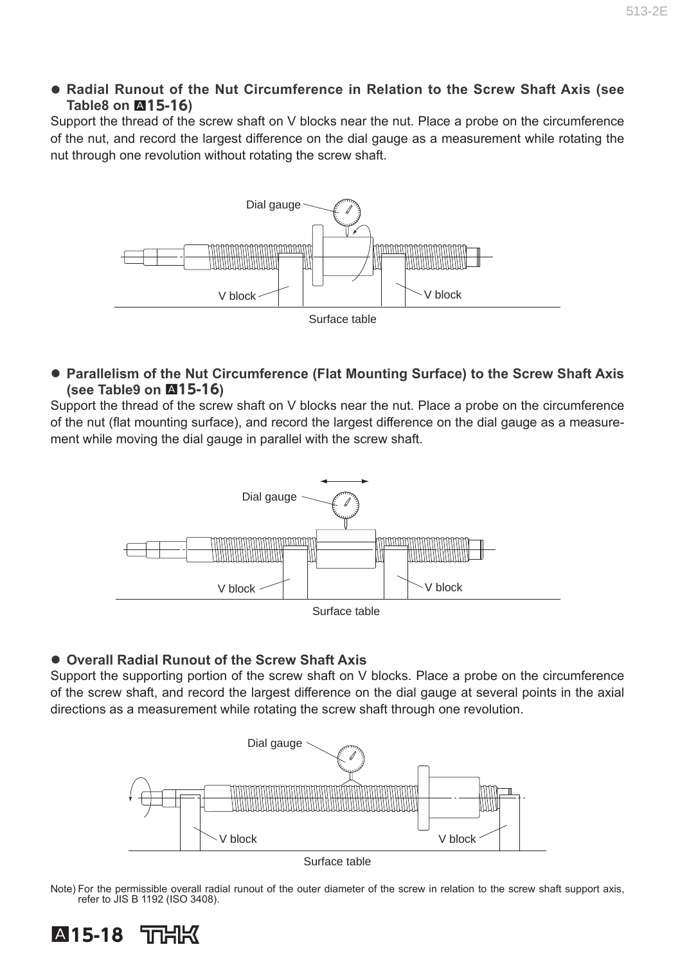#### **Radial Runout of the Nut Circumference in Relation to the Screw Shaft Axis (see Table8 on**  $\blacksquare$ **15-16**

 Support the thread of the screw shaft on V blocks near the nut. Place a probe on the circumference of the nut, and record the largest difference on the dial gauge as a measurement while rotating the nut through one revolution without rotating the screw shaft.



 **Parallelism of the Nut Circumference (Flat Mounting Surface) to the Screw Shaft Axis (see Table9 on** A**15-16 )** 

 Support the thread of the screw shaft on V blocks near the nut. Place a probe on the circumference of the nut (flat mounting surface), and record the largest difference on the dial gauge as a measurement while moving the dial gauge in parallel with the screw shaft.



#### **Overall Radial Runout of the Screw Shaft Axis**

 Support the supporting portion of the screw shaft on V blocks. Place a probe on the circumference of the screw shaft, and record the largest difference on the dial gauge at several points in the axial directions as a measurement while rotating the screw shaft through one revolution.





Note) For the permissible overall radial runout of the outer diameter of the screw in relation to the screw shaft support axis, refer to JIS B 1192 (ISO 3408).



#### A**15-18** 김남(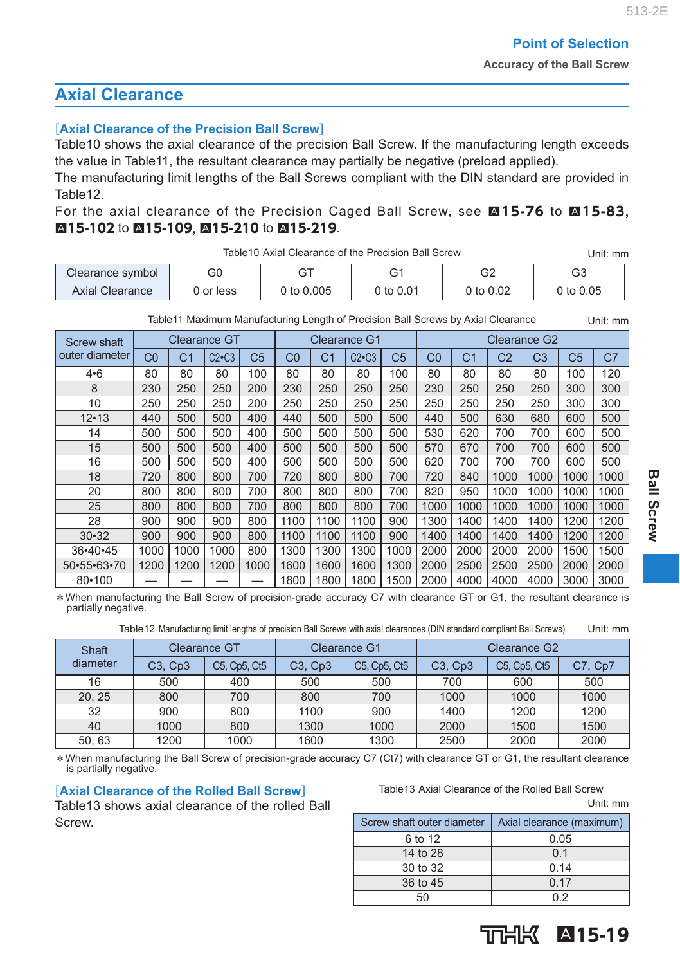**Accuracy of the Ball Screw**

## **Axial Clearance**

#### [**Axial Clearance of the Precision Ball Screw**]

 Table10 shows the axial clearance of the precision Ball Screw. If the manufacturing length exceeds the value in Table11 , the resultant clearance may partially be negative (preload applied).

 The manufacturing limit lengths of the Ball Screws compliant with the DIN standard are provided in Table12.

For the axial clearance of the Precision Caged Ball Screw, see **415-76** to **415-83**, **A15-102** to **A15-109**, **A15-210** to **A15-219**.

Table10 Axial Clearance of the Precision Ball Screw Table10 Axial Clearance of the Precision Ball Screw

**Ball Screw**

**Ball Screw** 

| Clearance symbol       | تا⊏     |             |                     |           | ు |
|------------------------|---------|-------------|---------------------|-----------|---|
| <b>Axial Clearance</b> | or less | 0.005<br>to | ) to 0.0 $^{\circ}$ | 0 to 0.02 |   |

Table11 Maximum Manufacturing Length of Precision Ball Screws by Axial Clearance Unit: mm

| Screw shaft         | <b>Clearance GT</b> |      |         |                |                | <b>Clearance G1</b> |         |                | Clearance G2 |                |                |                |                |                |
|---------------------|---------------------|------|---------|----------------|----------------|---------------------|---------|----------------|--------------|----------------|----------------|----------------|----------------|----------------|
| outer diameter      | C0                  | C1   | $C2-C3$ | C <sub>5</sub> | C <sub>0</sub> | С1                  | $C2-C3$ | C <sub>5</sub> | CO           | C <sub>1</sub> | C <sub>2</sub> | C <sub>3</sub> | C <sub>5</sub> | C <sub>7</sub> |
| $4 - 6$             | 80                  | 80   | 80      | 100            | 80             | 80                  | 80      | 100            | 80           | 80             | 80             | 80             | 100            | 120            |
| 8                   | 230                 | 250  | 250     | 200            | 230            | 250                 | 250     | 250            | 230          | 250            | 250            | 250            | 300            | 300            |
| 10                  | 250                 | 250  | 250     | 200            | 250            | 250                 | 250     | 250            | 250          | 250            | 250            | 250            | 300            | 300            |
| $12 - 13$           | 440                 | 500  | 500     | 400            | 440            | 500                 | 500     | 500            | 440          | 500            | 630            | 680            | 600            | 500            |
| 14                  | 500                 | 500  | 500     | 400            | 500            | 500                 | 500     | 500            | 530          | 620            | 700            | 700            | 600            | 500            |
| 15                  | 500                 | 500  | 500     | 400            | 500            | 500                 | 500     | 500            | 570          | 670            | 700            | 700            | 600            | 500            |
| 16                  | 500                 | 500  | 500     | 400            | 500            | 500                 | 500     | 500            | 620          | 700            | 700            | 700            | 600            | 500            |
| 18                  | 720                 | 800  | 800     | 700            | 720            | 800                 | 800     | 700            | 720          | 840            | 1000           | 1000           | 1000           | 1000           |
| 20                  | 800                 | 800  | 800     | 700            | 800            | 800                 | 800     | 700            | 820          | 950            | 1000           | 1000           | 1000           | 1000           |
| 25                  | 800                 | 800  | 800     | 700            | 800            | 800                 | 800     | 700            | 1000         | 1000           | 1000           | 1000           | 1000           | 1000           |
| 28                  | 900                 | 900  | 900     | 800            | 1100           | 1100                | 1100    | 900            | 1300         | 1400           | 1400           | 1400           | 1200           | 1200           |
| $30 - 32$           | 900                 | 900  | 900     | 800            | 1100           | 1100                | 1100    | 900            | 1400         | 1400           | 1400           | 1400           | 1200           | 1200           |
| 36-40-45            | 1000                | 1000 | 1000    | 800            | 1300           | 1300                | 1300    | 1000           | 2000         | 2000           | 2000           | 2000           | 1500           | 1500           |
| $50 - 55 - 63 - 70$ | 1200                | 1200 | 1200    | 1000           | 1600           | 1600                | 1600    | 1300           | 2000         | 2500           | 2500           | 2500           | 2000           | 2000           |
| $80 - 100$          |                     |      |         |                | 1800           | 1800                | 1800    | 1500           | 2000         | 4000           | 4000           | 4000           | 3000           | 3000           |

\*When manufacturing the Ball Screw of precision-grade accuracy C7 with clearance GT or G1, the resultant clearance is partially negative.

| Table 12 Manufacturing limit lengths of precision Ball Screws with axial clearances (DIN standard compliant Ball Screws) |  | Unit: mm |
|--------------------------------------------------------------------------------------------------------------------------|--|----------|
|--------------------------------------------------------------------------------------------------------------------------|--|----------|

| <b>Shaft</b> |         | <b>Clearance GT</b> |              | Clearance G1                                                   | Clearance G <sub>2</sub>          |              |         |  |
|--------------|---------|---------------------|--------------|----------------------------------------------------------------|-----------------------------------|--------------|---------|--|
| diameter     | C3, Cp3 | C5, Cp5, Ct5        | $C3$ , $Cp3$ | C <sub>5</sub> , C <sub>p</sub> <sub>5</sub> , C <sub>t5</sub> | C <sub>3</sub> , C <sub>p</sub> 3 | C5, Cp5, Ct5 | C7, Cp7 |  |
| 16           | 500     | 400                 | 500          | 500                                                            | 700                               | 600          | 500     |  |
| 20.25        | 800     | 700                 | 800          | 700                                                            | 1000                              | 1000         | 1000    |  |
| 32           | 900     | 800                 | 1100         | 900                                                            | 1400                              | 1200         | 1200    |  |
| 40           | 1000    | 800                 | 1300         | 1000                                                           | 2000                              | 1500         | 1500    |  |
| 50.63        | 1200    | 1000                | 1600         | 1300                                                           | 2500                              | 2000         | 2000    |  |

\*When manufacturing the Ball Screw of precision-grade accuracy C7 (Ct7) with clearance GT or G1, the resultant clearance is partially negative.

#### [**Axial Clearance of the Rolled Ball Screw**]

 Table13 shows axial clearance of the rolled Ball **Screw** 

Table13 Axial Clearance of the Rolled Ball Screw

Unit: mm

| Screw shaft outer diameter | Axial clearance (maximum) |
|----------------------------|---------------------------|
| 6 to 12                    | 0.05                      |
| 14 to 28                   | 0 <sub>1</sub>            |
| 30 to 32                   | 0.14                      |
| 36 to 45                   | 0.17                      |
|                            | ስ ን                       |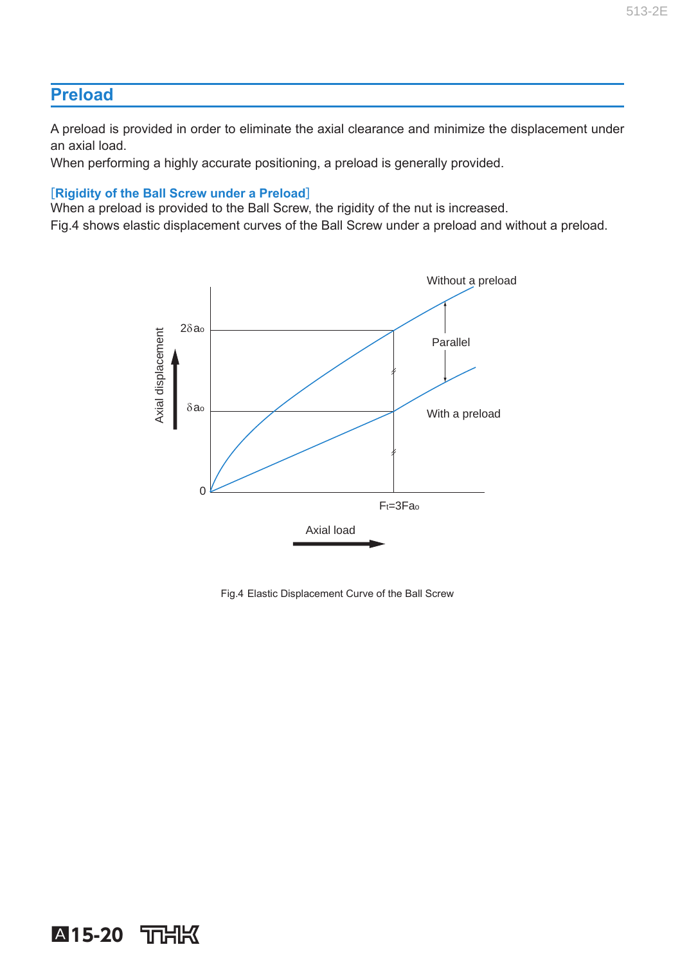### **Preload**

 A preload is provided in order to eliminate the axial clearance and minimize the displacement under an axial load.

When performing a highly accurate positioning, a preload is generally provided.

#### [**Rigidity of the Ball Screw under a Preload**]

A**15-20**

 When a preload is provided to the Ball Screw, the rigidity of the nut is increased. Fig.4 shows elastic displacement curves of the Ball Screw under a preload and without a preload.



Fig.4 Elastic Displacement Curve of the Ball Screw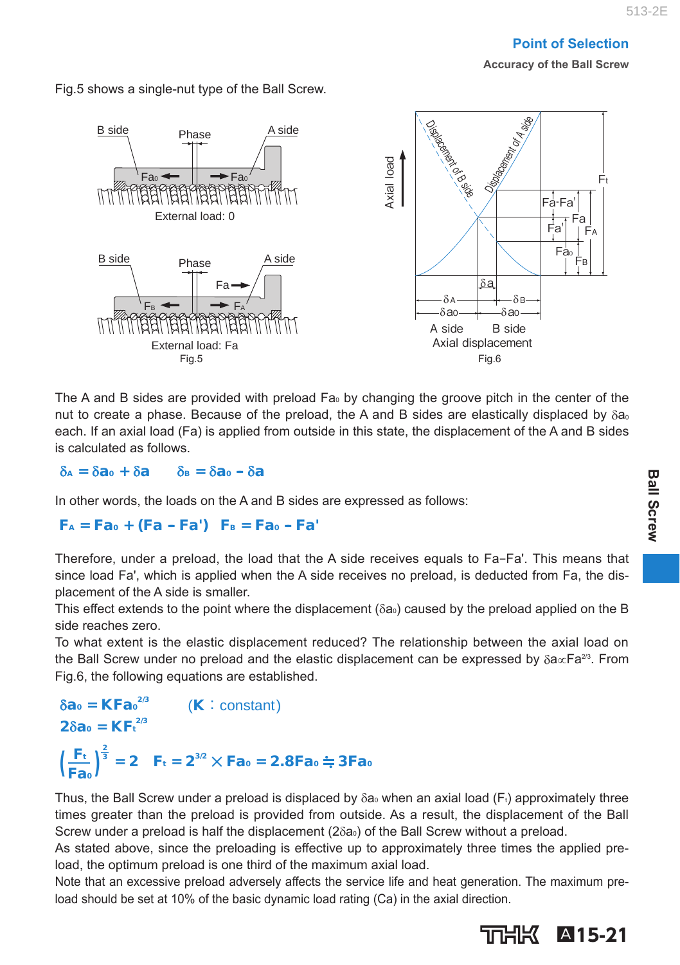**Accuracy of the Ball Screw**



Fig.5 shows a single-nut type of the Ball Screw.

The A and B sides are provided with preload  $Fa_0$  by changing the groove pitch in the center of the nut to create a phase. Because of the preload, the A and B sides are elastically displaced by  $\delta a_0$ each. If an axial load (Fa) is applied from outside in this state, the displacement of the A and B sides is calculated as follows.

 $\delta_{\theta} = \delta a_0 + \delta a_0 - \delta a_0 - \delta a_0$ 

In other words, the loads on the A and B sides are expressed as follows:

 $F_A = Fa_0 + (Fa - Fa')$   $F_B = Fa_0 - Fa'$ 

Therefore, under a preload, the load that the A side receives equals to Fa-Fa'. This means that since load Fa', which is applied when the A side receives no preload, is deducted from Fa, the displacement of the A side is smaller.

This effect extends to the point where the displacement ( $\delta a_0$ ) caused by the preload applied on the B side reaches zero.

To what extent is the elastic displacement reduced? The relationship between the axial load on the Ball Screw under no preload and the elastic displacement can be expressed by  $\delta a \propto Fa^{2/3}$ . From Fig.6 , the following equations are established.

```
2/3 (K : constant)
2δa<sub>0</sub> = KF<sub>t</sub><sup>2/3</sup>\left(\frac{F_t}{F_{a_0}}\right)^{\frac{2}{3}} = 2  F_t = 2^{3/2} \times F_{a_0} = 2.8F_{a_0} = 3F_{a_0}\frac{2}{3}\delta a_0 = KFa_0^{2/3}
```
Thus, the Ball Screw under a preload is displaced by  $\delta a_0$  when an axial load (F<sub>t</sub>) approximately three times greater than the preload is provided from outside. As a result, the displacement of the Ball Screw under a preload is half the displacement  $(2\delta a_0)$  of the Ball Screw without a preload.

As stated above, since the preloading is effective up to approximately three times the applied preload, the optimum preload is one third of the maximum axial load.

Note that an excessive preload adversely affects the service life and heat generation. The maximum preload should be set at 10% of the basic dynamic load rating (Ca) in the axial direction.



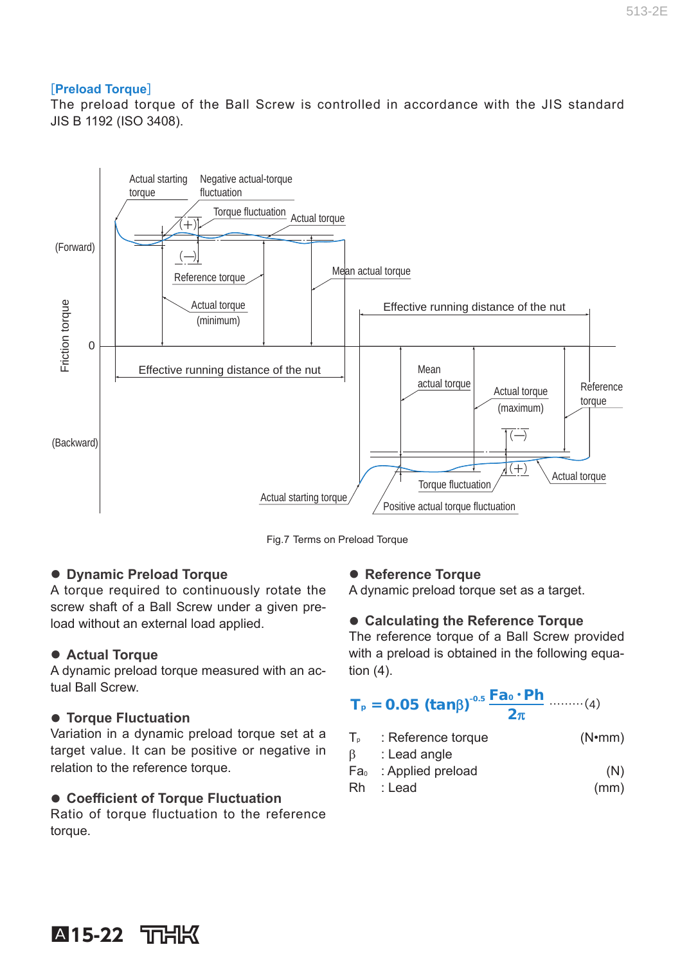#### [**Preload Torque**]

The preload torque of the Ball Screw is controlled in accordance with the JIS standard JIS B 1192 (ISO 3408).



Fig.7 Terms on Preload Torque

#### **Dynamic Preload Torque**

A torque required to continuously rotate the screw shaft of a Ball Screw under a given preload without an external load applied.

#### **Actual Torque**

 A dynamic preload torque measured with an actual Ball Screw.

#### **Torque Fluctuation**

Variation in a dynamic preload torque set at a target value. It can be positive or negative in relation to the reference torque.

#### **• Coefficient of Torque Fluctuation**

Ratio of torque fluctuation to the reference torque.

#### **Reference Torque**

A dynamic preload torque set as a target.

#### **Calculating the Reference Torque**

The reference torque of a Ball Screw provided with a preload is obtained in the following equation (4).

$$
T_{P} = 0.05 (tan \beta)^{-0.5} \frac{Fa_{0} \cdot Ph}{2\pi} \cdots (4)
$$

- T<sub>o</sub> : Reference torque (N•mm)  $\beta$  : Lead angle
- 
- $Fa_{0}$ : Applied preload  $(N)$
- Rh : Lead (mm)